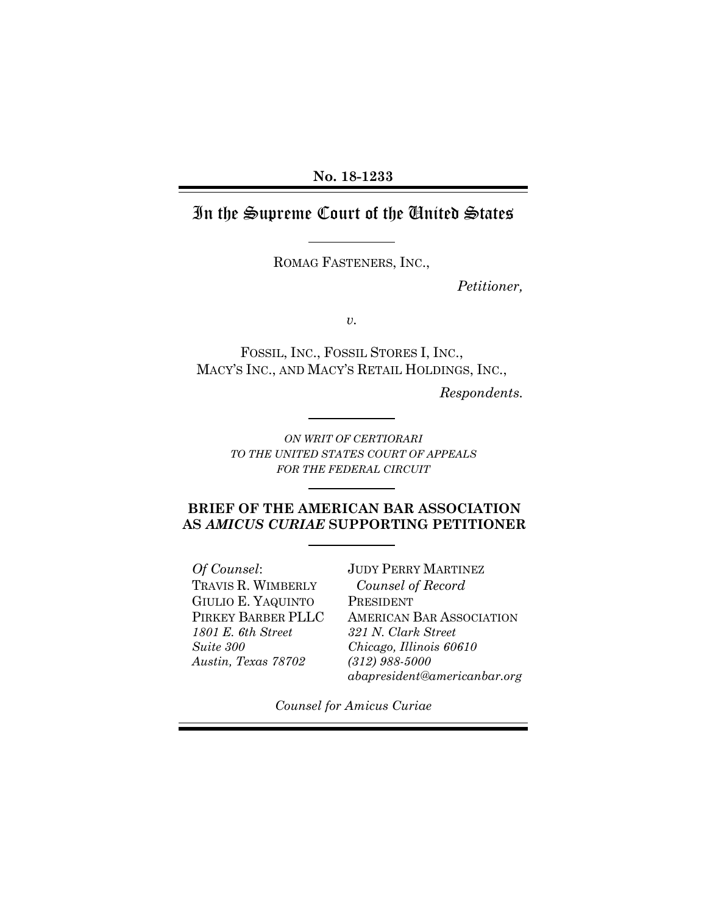### **No. 18-1233**

# In the Supreme Court of the United States

ROMAG FASTENERS, INC.,

*Petitioner,*

*v.*

FOSSIL, INC., FOSSIL STORES I, INC., MACY'S INC., AND MACY'S RETAIL HOLDINGS, INC.,

*Respondents.*

*ON WRIT OF CERTIORARI TO THE UNITED STATES COURT OF APPEALS FOR THE FEDERAL CIRCUIT*

### **BRIEF OF THE AMERICAN BAR ASSOCIATION AS** *AMICUS CURIAE* **SUPPORTING PETITIONER**

*Of Counsel*: TRAVIS R. WIMBERLY GIULIO E. YAQUINTO PIRKEY BARBER PLLC *1801 E. 6th Street Suite 300 Austin, Texas 78702*

JUDY PERRY MARTINEZ *Counsel of Record* PRESIDENT AMERICAN BAR ASSOCIATION *321 N. Clark Street Chicago, Illinois 60610 (312) 988-5000 abapresident@americanbar.org*

*Counsel for Amicus Curiae*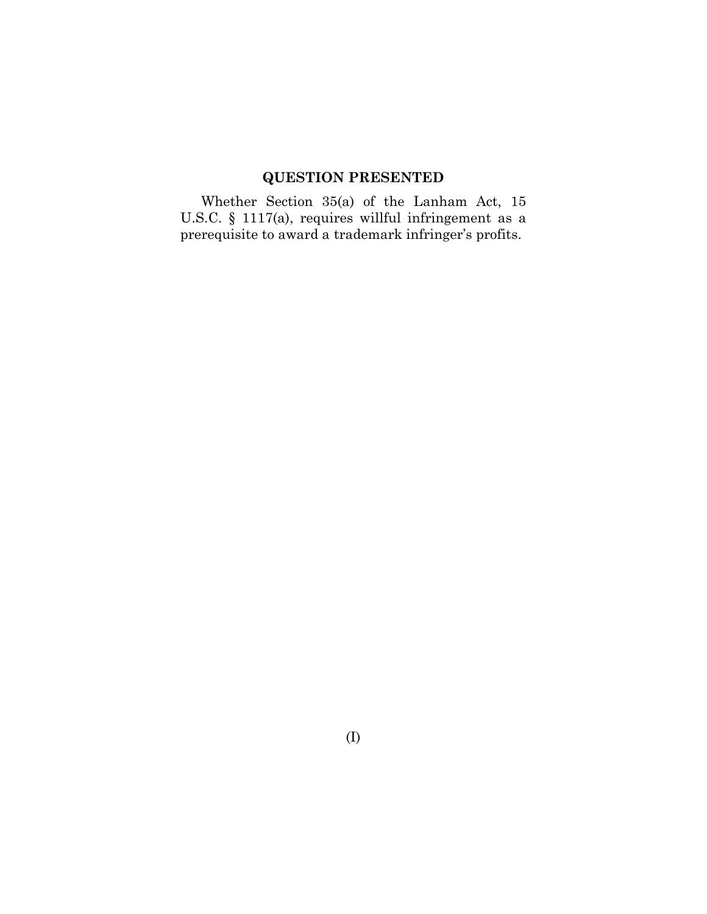# **QUESTION PRESENTED**

<span id="page-1-0"></span>Whether Section 35(a) of the Lanham Act, 15 U.S.C. § 1117(a), requires willful infringement as a prerequisite to award a trademark infringer's profits.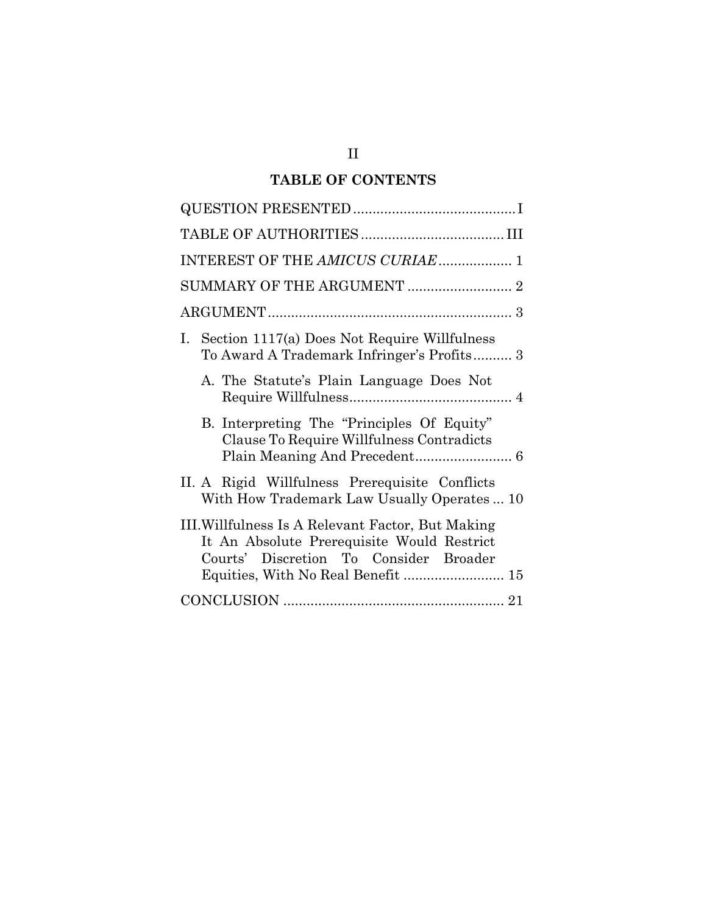## **TABLE OF CONTENTS**

| INTEREST OF THE AMICUS CURIAE 1                                                                                                           |
|-------------------------------------------------------------------------------------------------------------------------------------------|
|                                                                                                                                           |
|                                                                                                                                           |
| I. Section 1117(a) Does Not Require Willfulness<br>To Award A Trademark Infringer's Profits 3                                             |
| A. The Statute's Plain Language Does Not                                                                                                  |
| B. Interpreting The "Principles Of Equity"<br>Clause To Require Willfulness Contradicts                                                   |
| II. A Rigid Willfulness Prerequisite Conflicts<br>With How Trademark Law Usually Operates  10                                             |
| III. Willfulness Is A Relevant Factor, But Making<br>It An Absolute Prerequisite Would Restrict<br>Courts' Discretion To Consider Broader |
|                                                                                                                                           |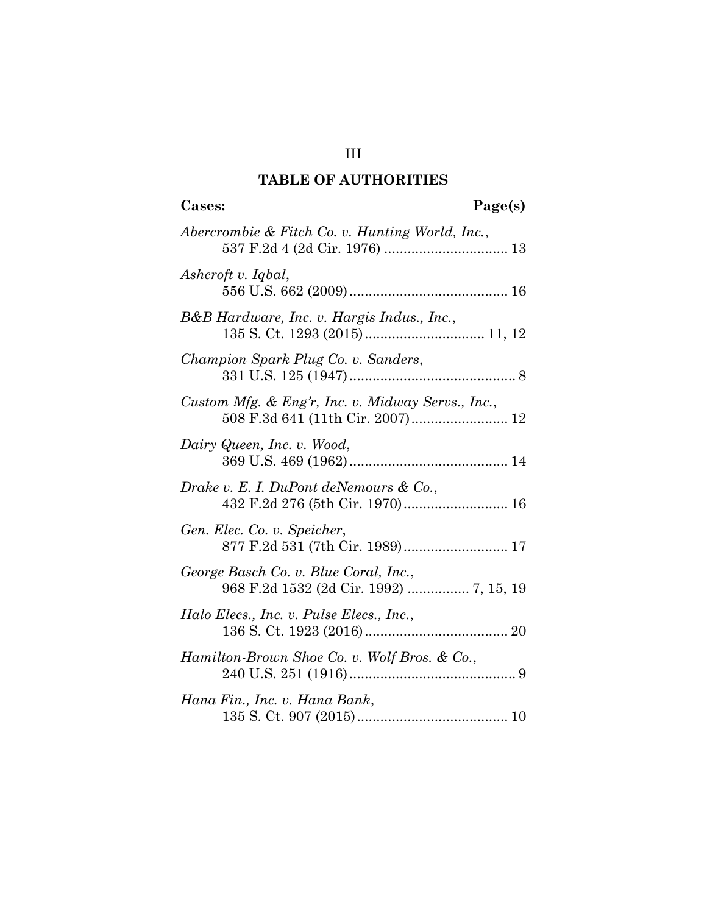## **TABLE OF AUTHORITIES**

<span id="page-3-0"></span>

| Page(s)<br>Cases:                                                                |  |
|----------------------------------------------------------------------------------|--|
| Abercrombie & Fitch Co. v. Hunting World, Inc.,                                  |  |
| Ashcroft v. Iqbal,                                                               |  |
| B&B Hardware, Inc. v. Hargis Indus., Inc.,                                       |  |
| Champion Spark Plug Co. v. Sanders,                                              |  |
| Custom Mfg. & Eng'r, Inc. v. Midway Servs., Inc.,                                |  |
| Dairy Queen, Inc. v. Wood,                                                       |  |
| Drake v. E. I. DuPont deNemours $\&$ Co.,                                        |  |
| Gen. Elec. Co. v. Speicher,<br>877 F.2d 531 (7th Cir. 1989) 17                   |  |
| George Basch Co. v. Blue Coral, Inc.,<br>968 F.2d 1532 (2d Cir. 1992)  7, 15, 19 |  |
| Halo Elecs., Inc. v. Pulse Elecs., Inc.,                                         |  |
| Hamilton-Brown Shoe Co. v. Wolf Bros. & Co.,                                     |  |
| Hana Fin., Inc. v. Hana Bank,                                                    |  |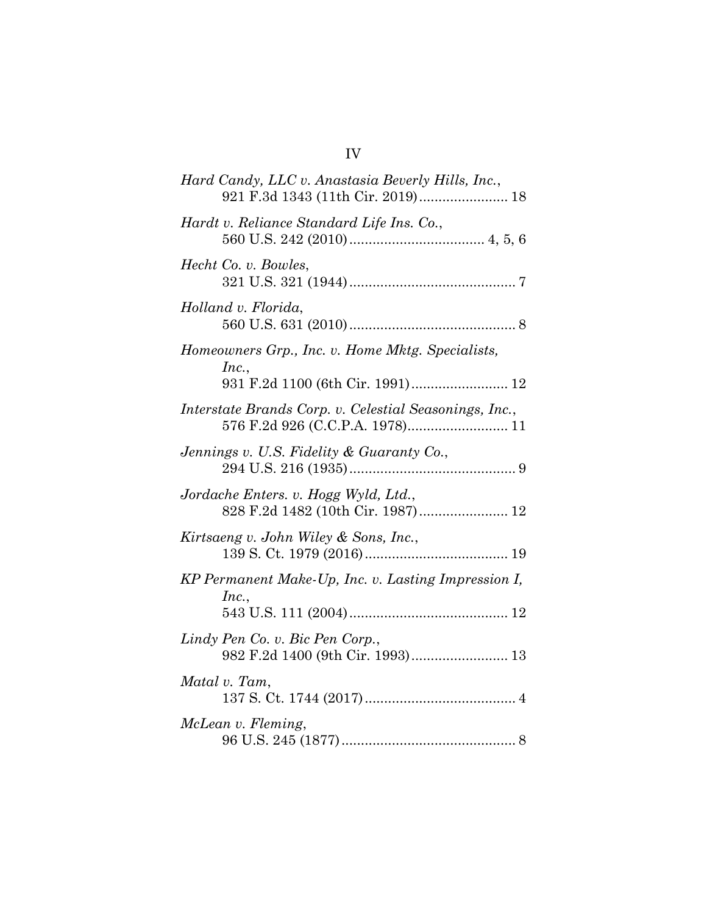| Hard Candy, LLC v. Anastasia Beverly Hills, Inc.,<br>921 F.3d 1343 (11th Cir. 2019) 18        |
|-----------------------------------------------------------------------------------------------|
| Hardt v. Reliance Standard Life Ins. Co.,                                                     |
| Hecht Co. v. Bowles,                                                                          |
| Holland v. Florida,                                                                           |
| Homeowners Grp., Inc. v. Home Mktg. Specialists,<br>Inc.,<br>931 F.2d 1100 (6th Cir. 1991) 12 |
| Interstate Brands Corp. v. Celestial Seasonings, Inc.,                                        |
| Jennings v. U.S. Fidelity & Guaranty Co.,                                                     |
| Jordache Enters. v. Hogg Wyld, Ltd.,<br>828 F.2d 1482 (10th Cir. 1987) 12                     |
| Kirtsaeng v. John Wiley & Sons, Inc.,                                                         |
| KP Permanent Make-Up, Inc. v. Lasting Impression I,<br>Inc.,                                  |
| Lindy Pen Co. v. Bic Pen Corp.,<br>982 F.2d 1400 (9th Cir. 1993) 13                           |
| Matal v. Tam,                                                                                 |
| McLean v. Fleming,                                                                            |

# IV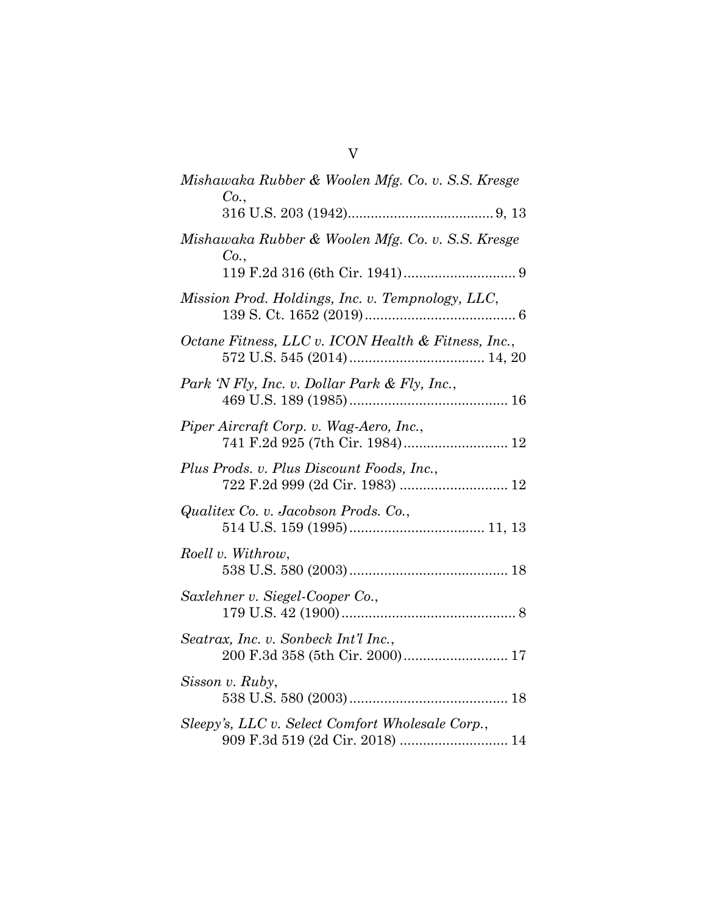| Mishawaka Rubber & Woolen Mfg. Co. v. S.S. Kresge<br>Co.                            |
|-------------------------------------------------------------------------------------|
|                                                                                     |
| Mishawaka Rubber & Woolen Mfg. Co. v. S.S. Kresge<br>Co.,                           |
| Mission Prod. Holdings, Inc. v. Tempnology, LLC,                                    |
| Octane Fitness, LLC v. ICON Health & Fitness, Inc.,                                 |
| Park 'N Fly, Inc. v. Dollar Park & Fly, Inc.,                                       |
| Piper Aircraft Corp. v. Wag-Aero, Inc.,<br>741 F.2d 925 (7th Cir. 1984) 12          |
| Plus Prods. v. Plus Discount Foods, Inc.,                                           |
| Qualitex Co. v. Jacobson Prods. Co.,                                                |
| Roell v. Withrow,                                                                   |
| Saxlehner v. Siegel-Cooper Co.,                                                     |
| Seatrax, Inc. v. Sonbeck Int'l Inc.,                                                |
| Sisson v. Ruby,                                                                     |
| Sleepy's, LLC v. Select Comfort Wholesale Corp.,<br>909 F.3d 519 (2d Cir. 2018)  14 |

V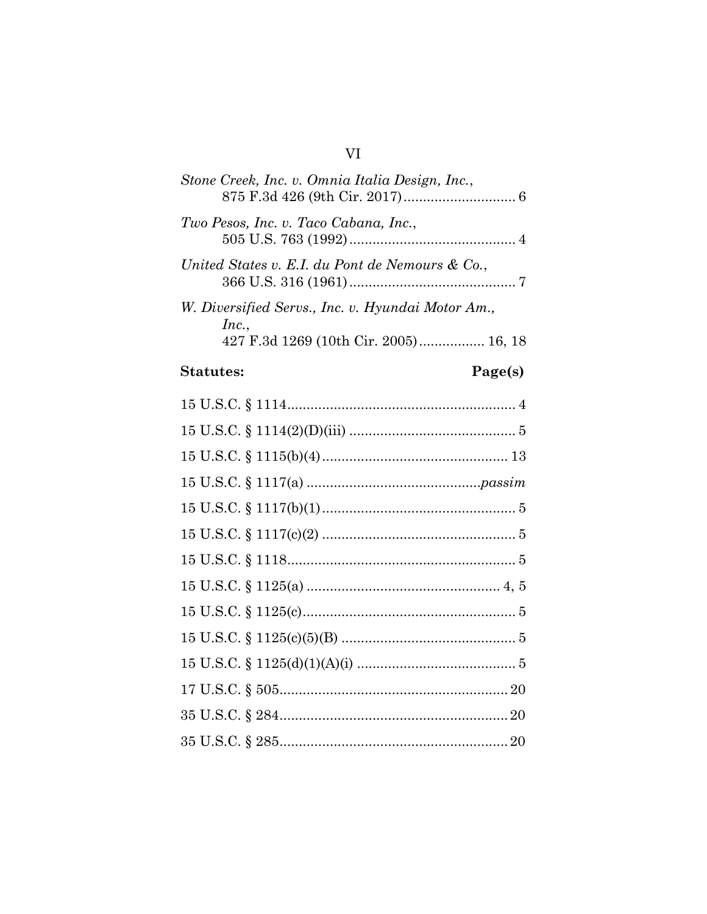# $VI$

| Stone Creek, Inc. v. Omnia Italia Design, Inc.,                                                     |
|-----------------------------------------------------------------------------------------------------|
| Two Pesos, Inc. v. Taco Cabana, Inc.,                                                               |
| United States v. E.I. du Pont de Nemours & Co.,                                                     |
| W. Diversified Servs., Inc. v. Hyundai Motor Am.,<br>Inc.,<br>427 F.3d 1269 (10th Cir. 2005) 16, 18 |

## **Statutes:**

# Page(s)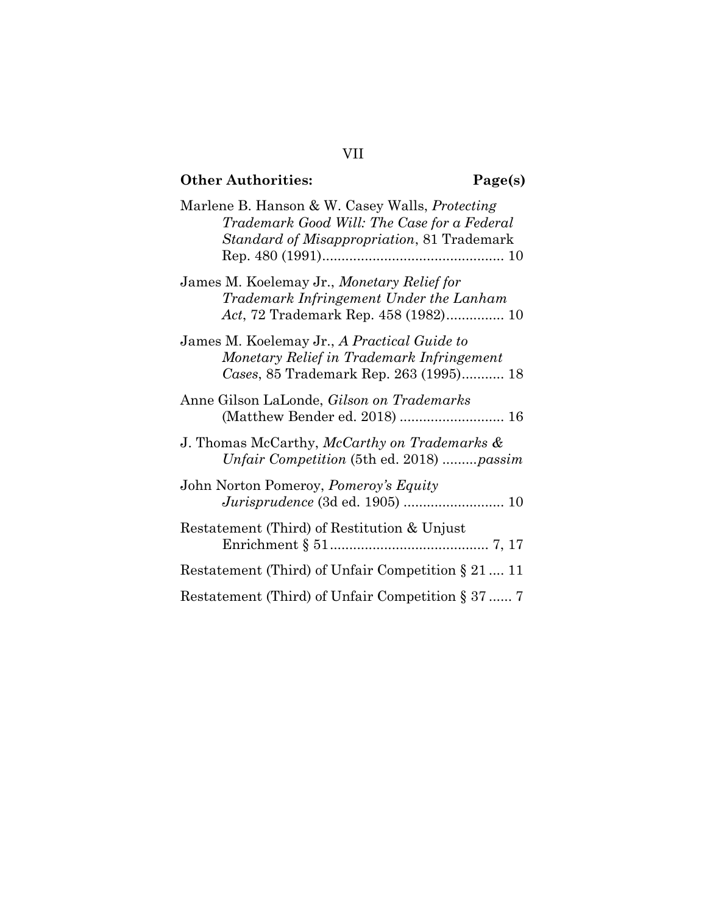# **Other Authorities: Page(s)**

| Marlene B. Hanson & W. Casey Walls, <i>Protecting</i><br>Trademark Good Will: The Case for a Federal<br>Standard of Misappropriation, 81 Trademark |
|----------------------------------------------------------------------------------------------------------------------------------------------------|
| James M. Koelemay Jr., Monetary Relief for<br>Trademark Infringement Under the Lanham<br>Act, 72 Trademark Rep. 458 (1982) 10                      |
| James M. Koelemay Jr., A Practical Guide to<br>Monetary Relief in Trademark Infringement<br>Cases, 85 Trademark Rep. 263 (1995) 18                 |
| Anne Gilson LaLonde, <i>Gilson on Trademarks</i>                                                                                                   |
| J. Thomas McCarthy, McCarthy on Trademarks &<br>Unfair Competition (5th ed. 2018) passim                                                           |
| John Norton Pomeroy, Pomeroy's Equity                                                                                                              |
| Restatement (Third) of Restitution & Unjust                                                                                                        |
| Restatement (Third) of Unfair Competition $\S 21$ 11                                                                                               |
| Restatement (Third) of Unfair Competition $\S 37$ 7                                                                                                |

VII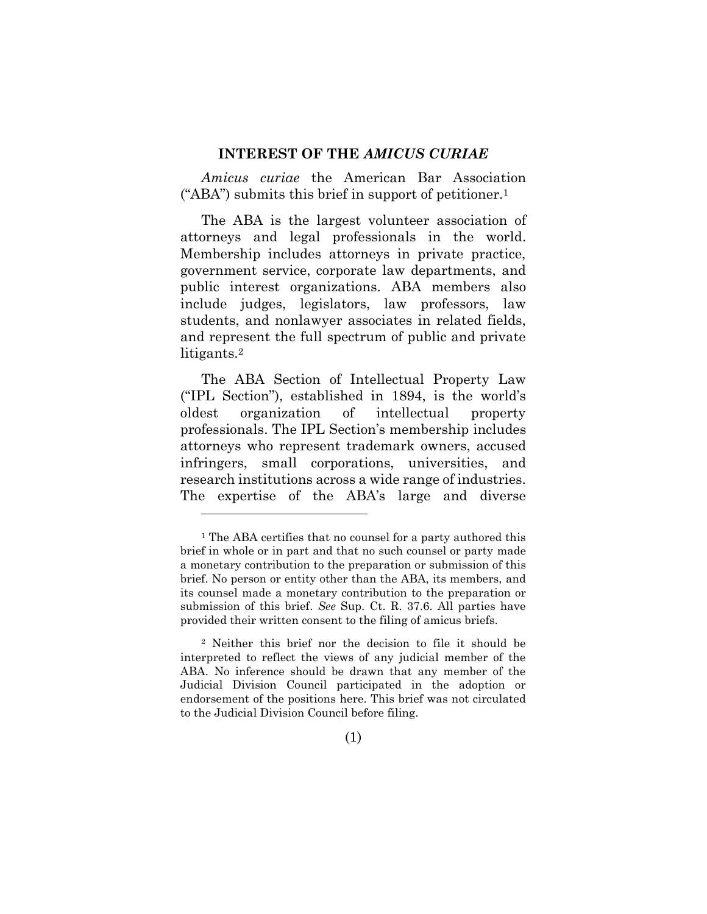### **INTEREST OF THE** *AMICUS CURIAE*

<span id="page-8-0"></span>*Amicus curiae* the American Bar Association ("ABA") submits this brief in support of petitioner.<sup>1</sup>

The ABA is the largest volunteer association of attorneys and legal professionals in the world. Membership includes attorneys in private practice, government service, corporate law departments, and public interest organizations. ABA members also include judges, legislators, law professors, law students, and nonlawyer associates in related fields, and represent the full spectrum of public and private litigants.<sup>2</sup>

The ABA Section of Intellectual Property Law ("IPL Section"), established in 1894, is the world's oldest organization of intellectual property professionals. The IPL Section's membership includes attorneys who represent trademark owners, accused infringers, small corporations, universities, and research institutions across a wide range of industries. The expertise of the ABA's large and diverse

<sup>1</sup> The ABA certifies that no counsel for a party authored this brief in whole or in part and that no such counsel or party made a monetary contribution to the preparation or submission of this brief. No person or entity other than the ABA, its members, and its counsel made a monetary contribution to the preparation or submission of this brief. *See* Sup. Ct. R. 37.6. All parties have provided their written consent to the filing of amicus briefs.

<sup>2</sup> Neither this brief nor the decision to file it should be interpreted to reflect the views of any judicial member of the ABA. No inference should be drawn that any member of the Judicial Division Council participated in the adoption or endorsement of the positions here. This brief was not circulated to the Judicial Division Council before filing.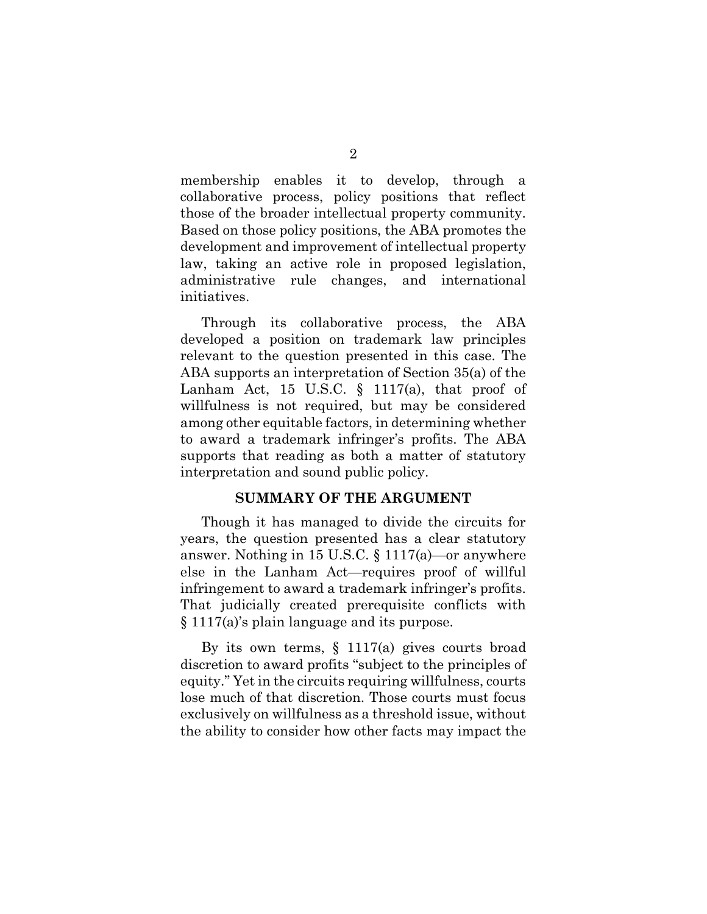membership enables it to develop, through a collaborative process, policy positions that reflect those of the broader intellectual property community. Based on those policy positions, the ABA promotes the development and improvement of intellectual property law, taking an active role in proposed legislation, administrative rule changes, and international initiatives.

Through its collaborative process, the ABA developed a position on trademark law principles relevant to the question presented in this case. The ABA supports an interpretation of Section 35(a) of the Lanham Act, 15 U.S.C. § 1117(a), that proof of willfulness is not required, but may be considered among other equitable factors, in determining whether to award a trademark infringer's profits. The ABA supports that reading as both a matter of statutory interpretation and sound public policy.

### **SUMMARY OF THE ARGUMENT**

<span id="page-9-0"></span>Though it has managed to divide the circuits for years, the question presented has a clear statutory answer. Nothing in 15 U.S.C. § 1117(a)—or anywhere else in the Lanham Act—requires proof of willful infringement to award a trademark infringer's profits. That judicially created prerequisite conflicts with § 1117(a)'s plain language and its purpose.

By its own terms, § 1117(a) gives courts broad discretion to award profits "subject to the principles of equity." Yet in the circuits requiring willfulness, courts lose much of that discretion. Those courts must focus exclusively on willfulness as a threshold issue, without the ability to consider how other facts may impact the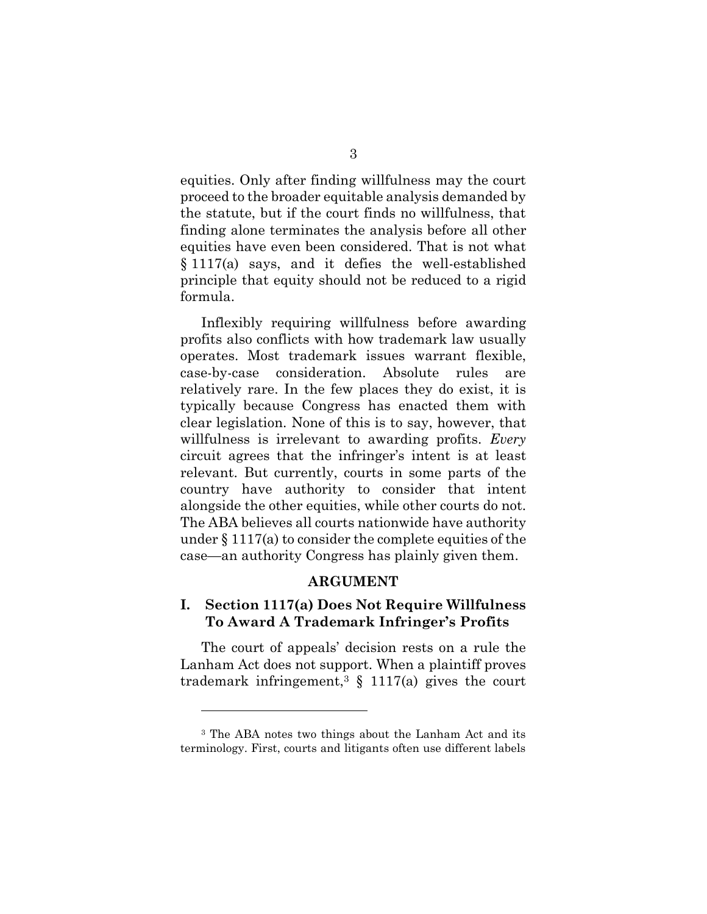equities. Only after finding willfulness may the court proceed to the broader equitable analysis demanded by the statute, but if the court finds no willfulness, that finding alone terminates the analysis before all other equities have even been considered. That is not what § 1117(a) says, and it defies the well-established principle that equity should not be reduced to a rigid formula.

Inflexibly requiring willfulness before awarding profits also conflicts with how trademark law usually operates. Most trademark issues warrant flexible, case-by-case consideration. Absolute rules are relatively rare. In the few places they do exist, it is typically because Congress has enacted them with clear legislation. None of this is to say, however, that willfulness is irrelevant to awarding profits. *Every* circuit agrees that the infringer's intent is at least relevant. But currently, courts in some parts of the country have authority to consider that intent alongside the other equities, while other courts do not. The ABA believes all courts nationwide have authority under  $\S 1117(a)$  to consider the complete equities of the case—an authority Congress has plainly given them.

### **ARGUMENT**

### <span id="page-10-1"></span><span id="page-10-0"></span>**I. Section 1117(a) Does Not Require Willfulness To Award A Trademark Infringer's Profits**

The court of appeals' decision rests on a rule the Lanham Act does not support. When a plaintiff proves trademark infringement,<sup>3</sup>  $\frac{1117(a)}{a}$  gives the court

<sup>3</sup> The ABA notes two things about the Lanham Act and its terminology. First, courts and litigants often use different labels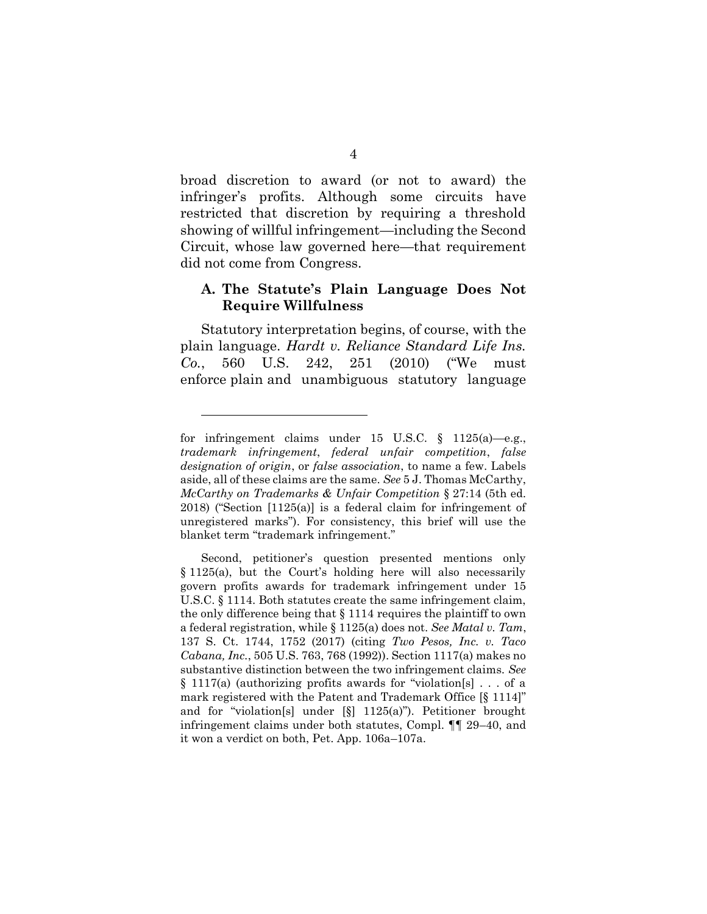broad discretion to award (or not to award) the infringer's profits. Although some circuits have restricted that discretion by requiring a threshold showing of willful infringement—including the Second Circuit, whose law governed here—that requirement did not come from Congress.

### <span id="page-11-0"></span>**A. The Statute's Plain Language Does Not Require Willfulness**

Statutory interpretation begins, of course, with the plain language. *Hardt v. Reliance Standard Life Ins. Co.*, 560 U.S. 242, 251 (2010) ("We must enforce plain and unambiguous statutory language

for infringement claims under 15 U.S.C. § 1125(a)—e.g., *trademark infringement*, *federal unfair competition*, *false designation of origin*, or *false association*, to name a few. Labels aside, all of these claims are the same. *See* 5 J. Thomas McCarthy, *McCarthy on Trademarks & Unfair Competition* § 27:14 (5th ed. 2018) ("Section [1125(a)] is a federal claim for infringement of unregistered marks"). For consistency, this brief will use the blanket term "trademark infringement."

Second, petitioner's question presented mentions only § 1125(a), but the Court's holding here will also necessarily govern profits awards for trademark infringement under 15 U.S.C. § 1114. Both statutes create the same infringement claim, the only difference being that § 1114 requires the plaintiff to own a federal registration, while § 1125(a) does not. *See Matal v. Tam*, 137 S. Ct. 1744, 1752 (2017) (citing *Two Pesos, Inc. v. Taco Cabana, Inc.*, 505 U.S. 763, 768 (1992)). Section 1117(a) makes no substantive distinction between the two infringement claims. *See*  § 1117(a) (authorizing profits awards for "violation[s] . . . of a mark registered with the Patent and Trademark Office [§ 1114]" and for "violation[s] under [§] 1125(a)"). Petitioner brought infringement claims under both statutes, Compl. ¶¶ 29–40, and it won a verdict on both, Pet. App. 106a–107a.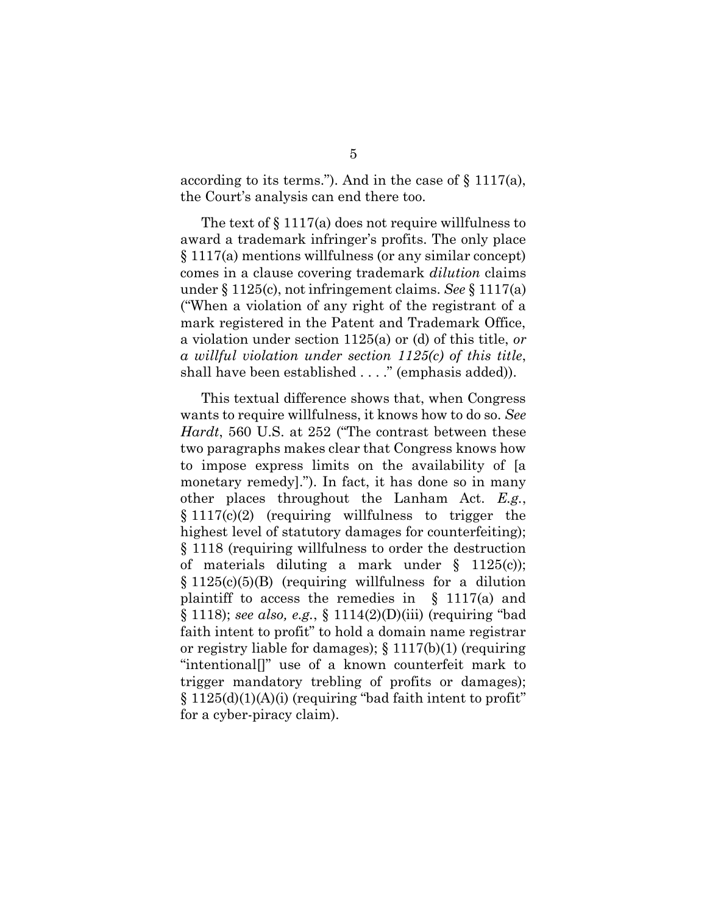according to its terms."). And in the case of § 1117(a), the Court's analysis can end there too.

The text of § 1117(a) does not require willfulness to award a trademark infringer's profits. The only place § 1117(a) mentions willfulness (or any similar concept) comes in a clause covering trademark *dilution* claims under § 1125(c), not infringement claims. *See* § 1117(a) ("When a violation of any right of the registrant of a mark registered in the Patent and Trademark Office, a violation under section 1125(a) or (d) of this title, *or a willful violation under section 1125(c) of this title*, shall have been established . . . ." (emphasis added)).

This textual difference shows that, when Congress wants to require willfulness, it knows how to do so. *See Hardt*, 560 U.S. at 252 ("The contrast between these two paragraphs makes clear that Congress knows how to impose express limits on the availability of [a monetary remedy]."). In fact, it has done so in many other places throughout the Lanham Act. *E.g.*,  $§ 1117(c)(2)$  (requiring willfulness to trigger the highest level of statutory damages for counterfeiting); § 1118 (requiring willfulness to order the destruction of materials diluting a mark under § 1125(c)); § 1125(c)(5)(B) (requiring willfulness for a dilution plaintiff to access the remedies in  $\S$  1117(a) and § 1118); *see also, e.g.*, § 1114(2)(D)(iii) (requiring "bad faith intent to profit" to hold a domain name registrar or registry liable for damages); § 1117(b)(1) (requiring "intentional[]" use of a known counterfeit mark to trigger mandatory trebling of profits or damages);  $\S 1125(d)(1)(A)(i)$  (requiring "bad faith intent to profit" for a cyber-piracy claim).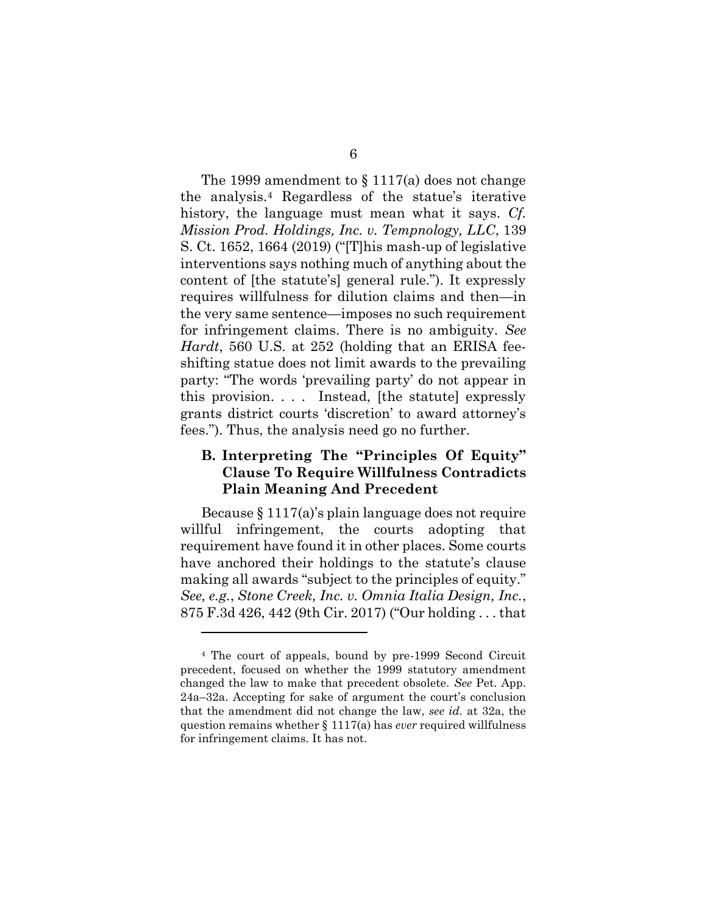The 1999 amendment to  $\S 1117(a)$  does not change the analysis.<sup>4</sup> Regardless of the statue's iterative history, the language must mean what it says. *Cf. Mission Prod. Holdings, Inc. v. Tempnology, LLC*, 139 S. Ct. 1652, 1664 (2019) ("[T]his mash-up of legislative interventions says nothing much of anything about the content of [the statute's] general rule."). It expressly requires willfulness for dilution claims and then—in the very same sentence—imposes no such requirement for infringement claims. There is no ambiguity. *See Hardt*, 560 U.S. at 252 (holding that an ERISA feeshifting statue does not limit awards to the prevailing party: "The words 'prevailing party' do not appear in this provision. . . . Instead, [the statute] expressly grants district courts 'discretion' to award attorney's fees."). Thus, the analysis need go no further.

### <span id="page-13-0"></span>**B. Interpreting The "Principles Of Equity" Clause To Require Willfulness Contradicts Plain Meaning And Precedent**

Because § 1117(a)'s plain language does not require willful infringement, the courts adopting that requirement have found it in other places. Some courts have anchored their holdings to the statute's clause making all awards "subject to the principles of equity." *See, e.g.*, *Stone Creek, Inc. v. Omnia Italia Design, Inc.*, 875 F.3d 426, 442 (9th Cir. 2017) ("Our holding . . . that

l

<sup>4</sup> The court of appeals, bound by pre-1999 Second Circuit precedent, focused on whether the 1999 statutory amendment changed the law to make that precedent obsolete. *See* Pet. App. 24a–32a. Accepting for sake of argument the court's conclusion that the amendment did not change the law, *see id.* at 32a, the question remains whether § 1117(a) has *ever* required willfulness for infringement claims. It has not.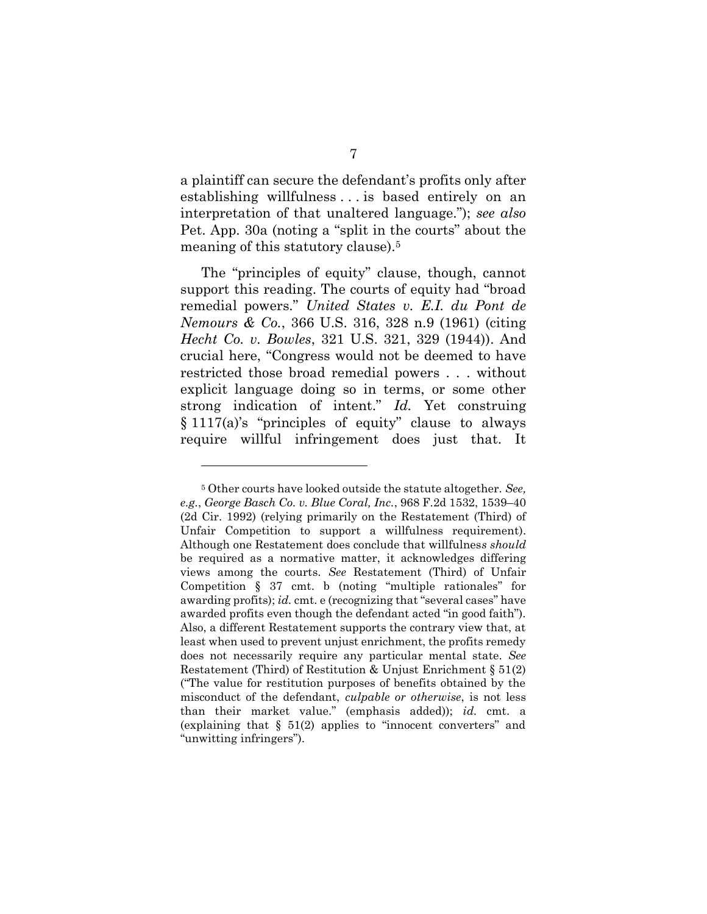a plaintiff can secure the defendant's profits only after establishing willfulness . . . is based entirely on an interpretation of that unaltered language."); *see also*  Pet. App. 30a (noting a "split in the courts" about the meaning of this statutory clause).<sup>5</sup>

The "principles of equity" clause, though, cannot support this reading. The courts of equity had "broad remedial powers." *United States v. E.I. du Pont de Nemours & Co.*, 366 U.S. 316, 328 n.9 (1961) (citing *Hecht Co. v. Bowles*, 321 U.S. 321, 329 (1944)). And crucial here, "Congress would not be deemed to have restricted those broad remedial powers . . . without explicit language doing so in terms, or some other strong indication of intent." *Id.* Yet construing § 1117(a)'s "principles of equity" clause to always require willful infringement does just that. It

l

<sup>5</sup> Other courts have looked outside the statute altogether. *See, e.g.*, *George Basch Co. v. Blue Coral, Inc.*, 968 F.2d 1532, 1539–40 (2d Cir. 1992) (relying primarily on the Restatement (Third) of Unfair Competition to support a willfulness requirement). Although one Restatement does conclude that willfulnes*s should* be required as a normative matter, it acknowledges differing views among the courts. *See* Restatement (Third) of Unfair Competition § 37 cmt. b (noting "multiple rationales" for awarding profits); *id.* cmt. e (recognizing that "several cases" have awarded profits even though the defendant acted "in good faith"). Also, a different Restatement supports the contrary view that, at least when used to prevent unjust enrichment, the profits remedy does not necessarily require any particular mental state. *See* Restatement (Third) of Restitution & Unjust Enrichment § 51(2) ("The value for restitution purposes of benefits obtained by the misconduct of the defendant, *culpable or otherwise*, is not less than their market value." (emphasis added)); *id.* cmt. a (explaining that  $\S$  51(2) applies to "innocent converters" and "unwitting infringers").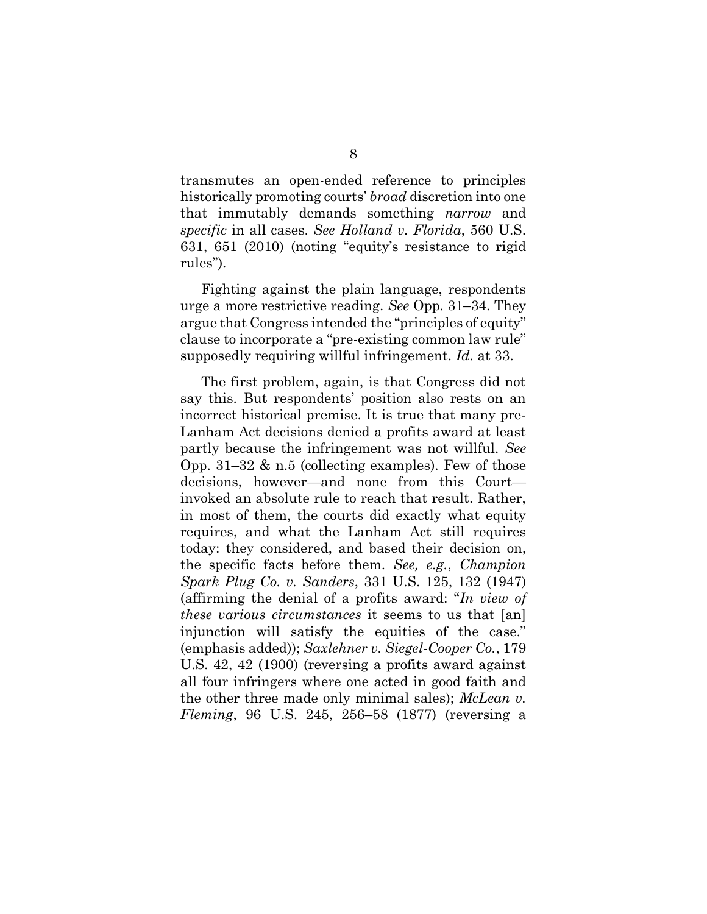transmutes an open-ended reference to principles historically promoting courts' *broad* discretion into one that immutably demands something *narrow* and *specific* in all cases. *See Holland v. Florida*, 560 U.S. 631, 651 (2010) (noting "equity's resistance to rigid rules").

Fighting against the plain language, respondents urge a more restrictive reading. *See* Opp. 31–34. They argue that Congress intended the "principles of equity" clause to incorporate a "pre-existing common law rule" supposedly requiring willful infringement. *Id.* at 33.

The first problem, again, is that Congress did not say this. But respondents' position also rests on an incorrect historical premise. It is true that many pre-Lanham Act decisions denied a profits award at least partly because the infringement was not willful. *See*  Opp. 31–32  $\&$  n.5 (collecting examples). Few of those decisions, however—and none from this Court invoked an absolute rule to reach that result. Rather, in most of them, the courts did exactly what equity requires, and what the Lanham Act still requires today: they considered, and based their decision on, the specific facts before them. *See, e.g.*, *Champion Spark Plug Co. v. Sanders*, 331 U.S. 125, 132 (1947) (affirming the denial of a profits award: "*In view of these various circumstances* it seems to us that [an] injunction will satisfy the equities of the case." (emphasis added)); *Saxlehner v. Siegel-Cooper Co.*, 179 U.S. 42, 42 (1900) (reversing a profits award against all four infringers where one acted in good faith and the other three made only minimal sales); *McLean v. Fleming*, 96 U.S. 245, 256–58 (1877) (reversing a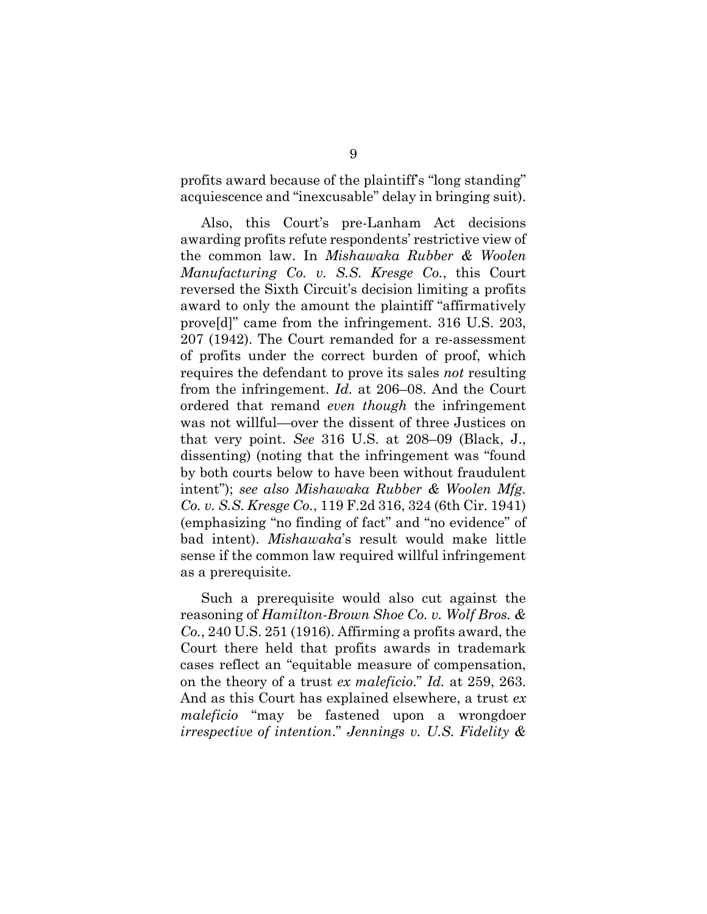profits award because of the plaintiff's "long standing" acquiescence and "inexcusable" delay in bringing suit).

Also, this Court's pre-Lanham Act decisions awarding profits refute respondents' restrictive view of the common law. In *Mishawaka Rubber & Woolen Manufacturing Co. v. S.S. Kresge Co.*, this Court reversed the Sixth Circuit's decision limiting a profits award to only the amount the plaintiff "affirmatively prove[d]" came from the infringement. 316 U.S. 203, 207 (1942). The Court remanded for a re-assessment of profits under the correct burden of proof, which requires the defendant to prove its sales *not* resulting from the infringement. *Id.* at 206–08. And the Court ordered that remand *even though* the infringement was not willful—over the dissent of three Justices on that very point. *See* 316 U.S. at 208–09 (Black, J., dissenting) (noting that the infringement was "found by both courts below to have been without fraudulent intent"); *see also Mishawaka Rubber & Woolen Mfg. Co. v. S.S. Kresge Co.*, 119 F.2d 316, 324 (6th Cir. 1941) (emphasizing "no finding of fact" and "no evidence" of bad intent). *Mishawaka*'s result would make little sense if the common law required willful infringement as a prerequisite.

Such a prerequisite would also cut against the reasoning of *Hamilton-Brown Shoe Co. v. Wolf Bros. & Co.*, 240 U.S. 251 (1916). Affirming a profits award, the Court there held that profits awards in trademark cases reflect an "equitable measure of compensation, on the theory of a trust *ex maleficio*." *Id.* at 259, 263. And as this Court has explained elsewhere, a trust *ex maleficio* "may be fastened upon a wrongdoer *irrespective of intention*." *Jennings v. U.S. Fidelity &*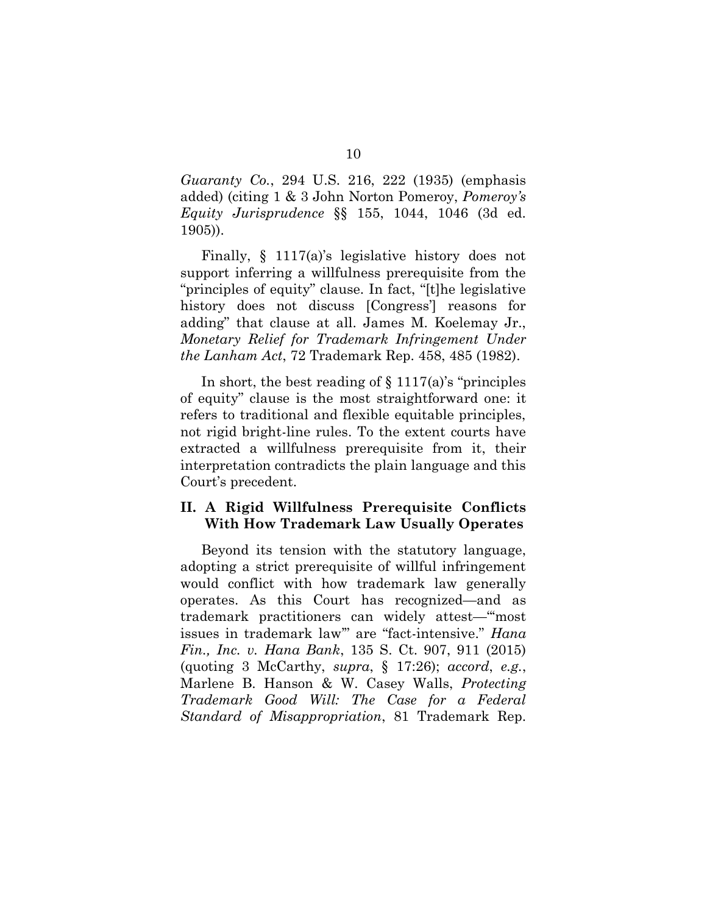*Guaranty Co.*, 294 U.S. 216, 222 (1935) (emphasis added) (citing 1 & 3 John Norton Pomeroy, *Pomeroy's Equity Jurisprudence* §§ 155, 1044, 1046 (3d ed. 1905)).

Finally, § 1117(a)'s legislative history does not support inferring a willfulness prerequisite from the "principles of equity" clause. In fact, "[t]he legislative history does not discuss [Congress'] reasons for adding" that clause at all. James M. Koelemay Jr., *Monetary Relief for Trademark Infringement Under the Lanham Act*, 72 Trademark Rep. 458, 485 (1982).

In short, the best reading of  $\S 1117(a)$ 's "principles" of equity" clause is the most straightforward one: it refers to traditional and flexible equitable principles, not rigid bright-line rules. To the extent courts have extracted a willfulness prerequisite from it, their interpretation contradicts the plain language and this Court's precedent.

### <span id="page-17-0"></span>**II. A Rigid Willfulness Prerequisite Conflicts With How Trademark Law Usually Operates**

Beyond its tension with the statutory language, adopting a strict prerequisite of willful infringement would conflict with how trademark law generally operates. As this Court has recognized—and as trademark practitioners can widely attest—"'most issues in trademark law'" are "fact-intensive." *Hana Fin., Inc. v. Hana Bank*, 135 S. Ct. 907, 911 (2015) (quoting 3 McCarthy, *supra*, § 17:26); *accord*, *e.g.*, Marlene B. Hanson & W. Casey Walls, *Protecting Trademark Good Will: The Case for a Federal Standard of Misappropriation*, 81 Trademark Rep.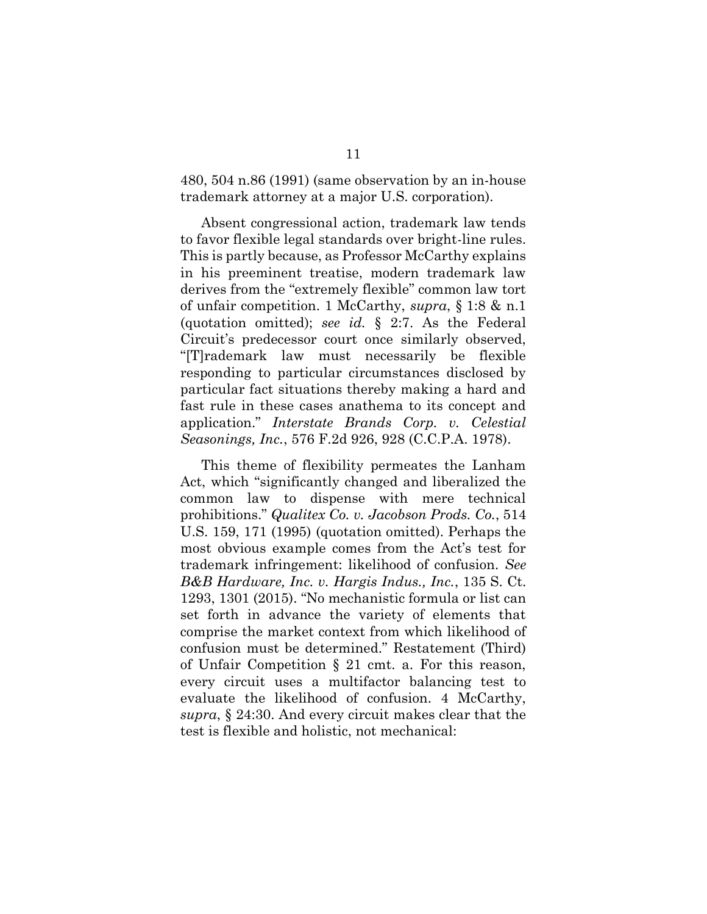480, 504 n.86 (1991) (same observation by an in-house trademark attorney at a major U.S. corporation).

Absent congressional action, trademark law tends to favor flexible legal standards over bright-line rules. This is partly because, as Professor McCarthy explains in his preeminent treatise, modern trademark law derives from the "extremely flexible" common law tort of unfair competition. 1 McCarthy, *supra*, § 1:8 & n.1 (quotation omitted); *see id.* § 2:7. As the Federal Circuit's predecessor court once similarly observed, "[T]rademark law must necessarily be flexible responding to particular circumstances disclosed by particular fact situations thereby making a hard and fast rule in these cases anathema to its concept and application." *Interstate Brands Corp. v. Celestial Seasonings, Inc.*, 576 F.2d 926, 928 (C.C.P.A. 1978).

This theme of flexibility permeates the Lanham Act, which "significantly changed and liberalized the common law to dispense with mere technical prohibitions." *Qualitex Co. v. Jacobson Prods. Co.*, 514 U.S. 159, 171 (1995) (quotation omitted). Perhaps the most obvious example comes from the Act's test for trademark infringement: likelihood of confusion. *See B&B Hardware, Inc. v. Hargis Indus., Inc.*, 135 S. Ct. 1293, 1301 (2015). "No mechanistic formula or list can set forth in advance the variety of elements that comprise the market context from which likelihood of confusion must be determined." Restatement (Third) of Unfair Competition § 21 cmt. a. For this reason, every circuit uses a multifactor balancing test to evaluate the likelihood of confusion. 4 McCarthy, *supra*, § 24:30. And every circuit makes clear that the test is flexible and holistic, not mechanical: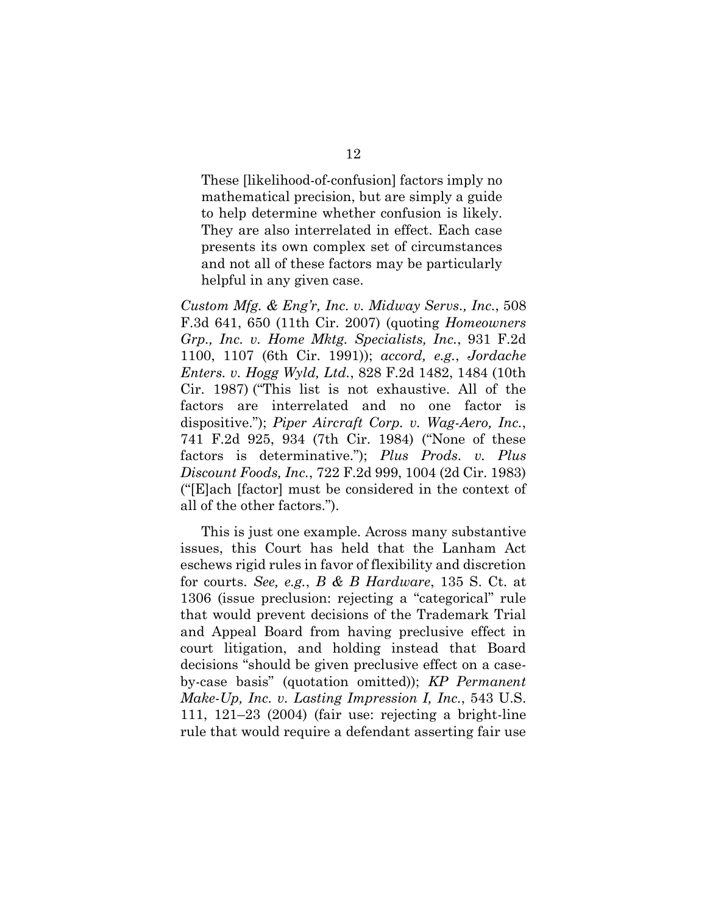These [likelihood-of-confusion] factors imply no mathematical precision, but are simply a guide to help determine whether confusion is likely. They are also interrelated in effect. Each case presents its own complex set of circumstances and not all of these factors may be particularly helpful in any given case.

*Custom Mfg. & Eng'r, Inc. v. Midway Servs., Inc.*, 508 F.3d 641, 650 (11th Cir. 2007) (quoting *Homeowners Grp., Inc. v. Home Mktg. Specialists, Inc.*, 931 F.2d 1100, 1107 (6th Cir. 1991)); *accord, e.g.*, *Jordache Enters. v. Hogg Wyld, Ltd.*, 828 F.2d 1482, 1484 (10th Cir. 1987) ("This list is not exhaustive. All of the factors are interrelated and no one factor is dispositive."); *Piper Aircraft Corp. v. Wag-Aero, Inc.*, 741 F.2d 925, 934 (7th Cir. 1984) ("None of these factors is determinative."); *Plus Prods. v. Plus Discount Foods, Inc.*, 722 F.2d 999, 1004 (2d Cir. 1983) ("[E]ach [factor] must be considered in the context of all of the other factors.").

This is just one example. Across many substantive issues, this Court has held that the Lanham Act eschews rigid rules in favor of flexibility and discretion for courts. *See, e.g.*, *B & B Hardware*, 135 S. Ct. at 1306 (issue preclusion: rejecting a "categorical" rule that would prevent decisions of the Trademark Trial and Appeal Board from having preclusive effect in court litigation, and holding instead that Board decisions "should be given preclusive effect on a caseby-case basis" (quotation omitted)); *KP Permanent Make-Up, Inc. v. Lasting Impression I, Inc.*, 543 U.S. 111, 121–23 (2004) (fair use: rejecting a bright-line rule that would require a defendant asserting fair use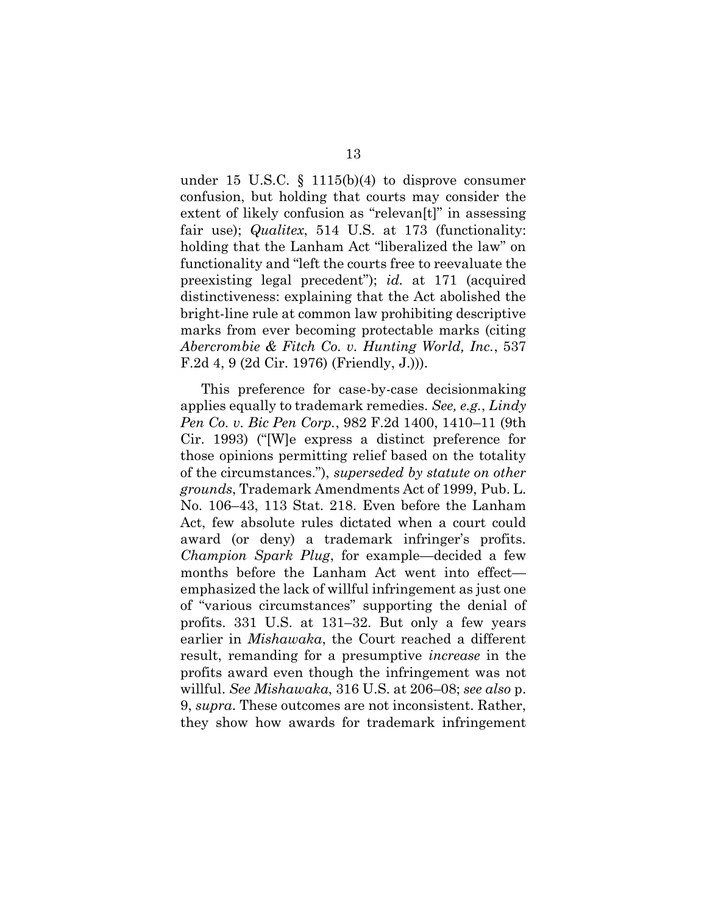under 15 U.S.C.  $\S$  1115(b)(4) to disprove consumer confusion, but holding that courts may consider the extent of likely confusion as "relevan[t]" in assessing fair use); *Qualitex*, 514 U.S. at 173 (functionality: holding that the Lanham Act "liberalized the law" on functionality and "left the courts free to reevaluate the preexisting legal precedent"); *id.* at 171 (acquired distinctiveness: explaining that the Act abolished the bright-line rule at common law prohibiting descriptive marks from ever becoming protectable marks (citing *Abercrombie & Fitch Co. v. Hunting World, Inc.*, 537 F.2d 4, 9 (2d Cir. 1976) (Friendly, J.))).

This preference for case-by-case decisionmaking applies equally to trademark remedies. *See, e.g.*, *Lindy Pen Co. v. Bic Pen Corp.*, 982 F.2d 1400, 1410–11 (9th Cir. 1993) ("[W]e express a distinct preference for those opinions permitting relief based on the totality of the circumstances."), *superseded by statute on other grounds*, Trademark Amendments Act of 1999, Pub. L. No. 106–43, 113 Stat. 218. Even before the Lanham Act, few absolute rules dictated when a court could award (or deny) a trademark infringer's profits. *Champion Spark Plug*, for example—decided a few months before the Lanham Act went into effect emphasized the lack of willful infringement as just one of "various circumstances" supporting the denial of profits. 331 U.S. at 131–32. But only a few years earlier in *Mishawaka*, the Court reached a different result, remanding for a presumptive *increase* in the profits award even though the infringement was not willful. *See Mishawaka*, 316 U.S. at 206–08; *see also* p. 9, *supra*. These outcomes are not inconsistent. Rather, they show how awards for trademark infringement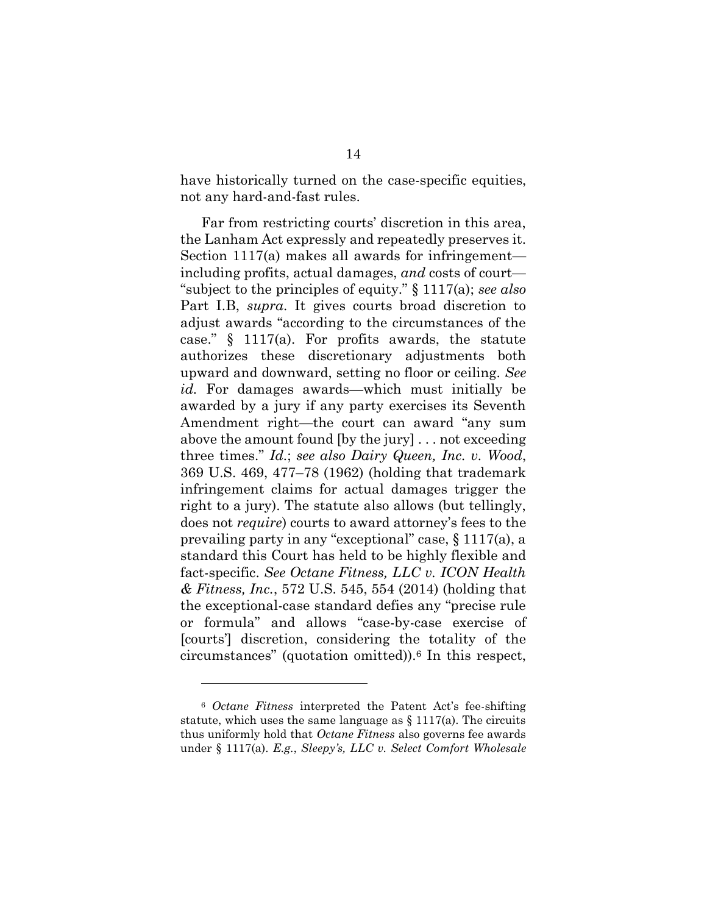have historically turned on the case-specific equities, not any hard-and-fast rules.

Far from restricting courts' discretion in this area, the Lanham Act expressly and repeatedly preserves it. Section 1117(a) makes all awards for infringement including profits, actual damages, *and* costs of court— "subject to the principles of equity." § 1117(a); *see also*  Part I.B, *supra*. It gives courts broad discretion to adjust awards "according to the circumstances of the case." § 1117(a). For profits awards, the statute authorizes these discretionary adjustments both upward and downward, setting no floor or ceiling. *See id.* For damages awards—which must initially be awarded by a jury if any party exercises its Seventh Amendment right—the court can award "any sum above the amount found [by the jury] . . . not exceeding three times." *Id.*; *see also Dairy Queen, Inc. v. Wood*, 369 U.S. 469, 477–78 (1962) (holding that trademark infringement claims for actual damages trigger the right to a jury). The statute also allows (but tellingly, does not *require*) courts to award attorney's fees to the prevailing party in any "exceptional" case, § 1117(a), a standard this Court has held to be highly flexible and fact-specific. *See Octane Fitness, LLC v. ICON Health & Fitness, Inc.*, 572 U.S. 545, 554 (2014) (holding that the exceptional-case standard defies any "precise rule or formula" and allows "case-by-case exercise of [courts'] discretion, considering the totality of the circumstances" (quotation omitted)).<sup>6</sup> In this respect,

<sup>6</sup> *Octane Fitness* interpreted the Patent Act's fee-shifting statute, which uses the same language as  $\S 1117(a)$ . The circuits thus uniformly hold that *Octane Fitness* also governs fee awards under § 1117(a). *E.g.*, *Sleepy's, LLC v. Select Comfort Wholesale*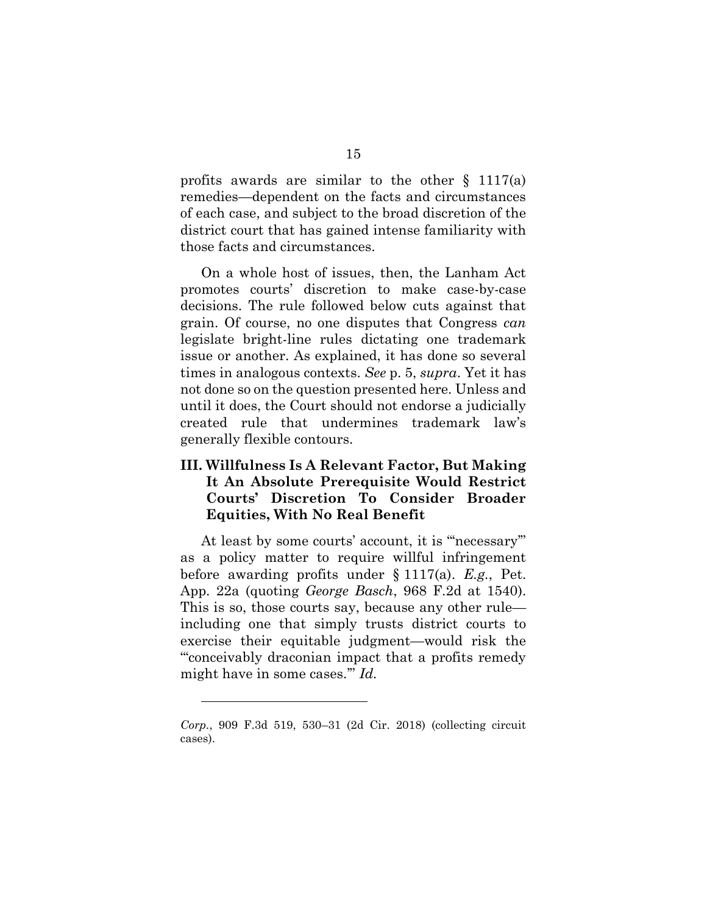profits awards are similar to the other  $\S$  1117(a) remedies—dependent on the facts and circumstances of each case, and subject to the broad discretion of the district court that has gained intense familiarity with those facts and circumstances.

On a whole host of issues, then, the Lanham Act promotes courts' discretion to make case-by-case decisions. The rule followed below cuts against that grain. Of course, no one disputes that Congress *can*  legislate bright-line rules dictating one trademark issue or another. As explained, it has done so several times in analogous contexts. *See* p. 5, *supra*. Yet it has not done so on the question presented here. Unless and until it does, the Court should not endorse a judicially created rule that undermines trademark law's generally flexible contours.

### <span id="page-22-0"></span>**III. Willfulness Is A Relevant Factor, But Making It An Absolute Prerequisite Would Restrict Courts' Discretion To Consider Broader Equities, With No Real Benefit**

At least by some courts' account, it is "'necessary'" as a policy matter to require willful infringement before awarding profits under § 1117(a). *E.g.*, Pet. App. 22a (quoting *George Basch*, 968 F.2d at 1540). This is so, those courts say, because any other rule including one that simply trusts district courts to exercise their equitable judgment—would risk the "'conceivably draconian impact that a profits remedy might have in some cases.'" *Id.* 

*Corp.*, 909 F.3d 519, 530–31 (2d Cir. 2018) (collecting circuit cases).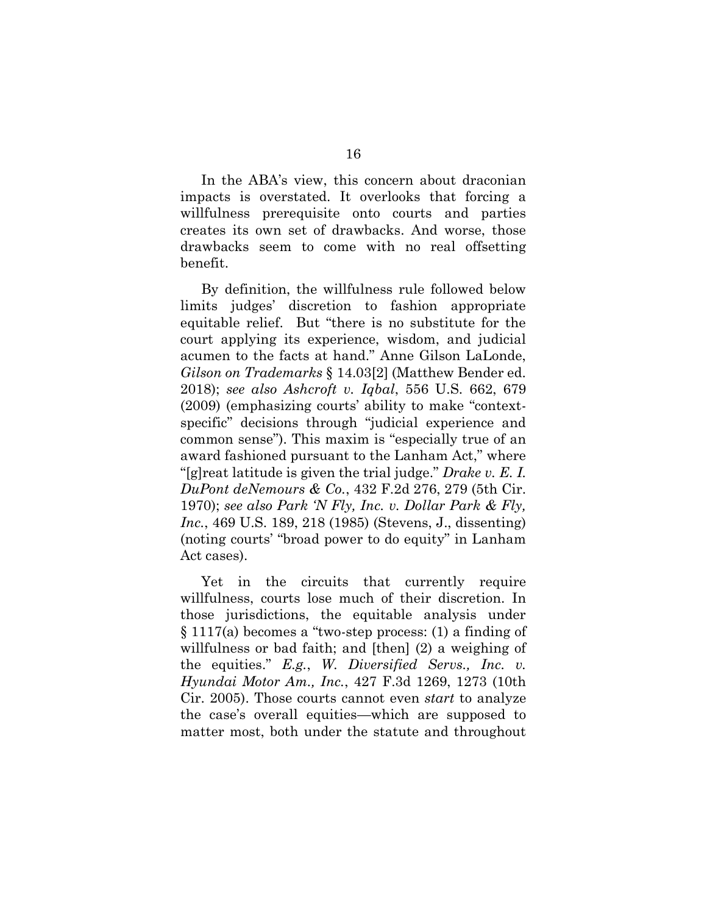In the ABA's view, this concern about draconian impacts is overstated. It overlooks that forcing a willfulness prerequisite onto courts and parties creates its own set of drawbacks. And worse, those drawbacks seem to come with no real offsetting benefit.

By definition, the willfulness rule followed below limits judges' discretion to fashion appropriate equitable relief. But "there is no substitute for the court applying its experience, wisdom, and judicial acumen to the facts at hand." Anne Gilson LaLonde, *Gilson on Trademarks* § 14.03[2] (Matthew Bender ed. 2018); *see also Ashcroft v. Iqbal*, 556 U.S. 662, 679 (2009) (emphasizing courts' ability to make "contextspecific" decisions through "judicial experience and common sense"). This maxim is "especially true of an award fashioned pursuant to the Lanham Act," where "[g]reat latitude is given the trial judge." *Drake v. E. I. DuPont deNemours & Co.*, 432 F.2d 276, 279 (5th Cir. 1970); *see also Park 'N Fly, Inc. v. Dollar Park & Fly, Inc.*, 469 U.S. 189, 218 (1985) (Stevens, J., dissenting) (noting courts' "broad power to do equity" in Lanham Act cases).

Yet in the circuits that currently require willfulness, courts lose much of their discretion. In those jurisdictions, the equitable analysis under § 1117(a) becomes a "two-step process: (1) a finding of willfulness or bad faith; and [then] (2) a weighing of the equities." *E.g.*, *W. Diversified Servs., Inc. v. Hyundai Motor Am., Inc.*, 427 F.3d 1269, 1273 (10th Cir. 2005). Those courts cannot even *start* to analyze the case's overall equities—which are supposed to matter most, both under the statute and throughout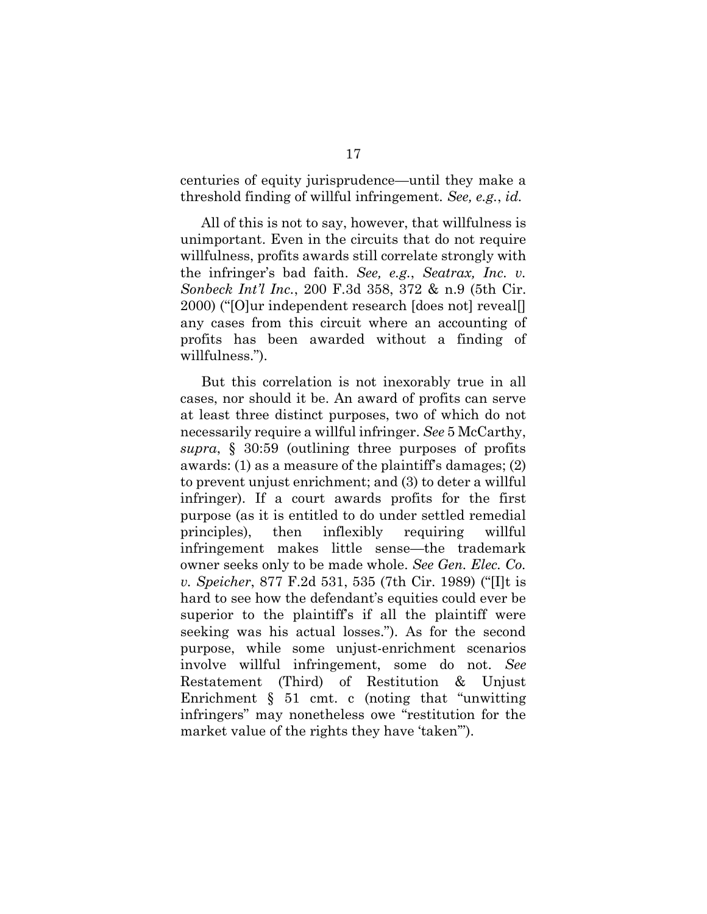centuries of equity jurisprudence—until they make a threshold finding of willful infringement. *See, e.g.*, *id.*

All of this is not to say, however, that willfulness is unimportant. Even in the circuits that do not require willfulness, profits awards still correlate strongly with the infringer's bad faith. *See, e.g.*, *Seatrax, Inc. v. Sonbeck Int'l Inc.*, 200 F.3d 358, 372 & n.9 (5th Cir. 2000) ("[O]ur independent research [does not] reveal[] any cases from this circuit where an accounting of profits has been awarded without a finding of willfulness.").

But this correlation is not inexorably true in all cases, nor should it be. An award of profits can serve at least three distinct purposes, two of which do not necessarily require a willful infringer. *See* 5 McCarthy, *supra*, § 30:59 (outlining three purposes of profits awards: (1) as a measure of the plaintiff's damages; (2) to prevent unjust enrichment; and (3) to deter a willful infringer). If a court awards profits for the first purpose (as it is entitled to do under settled remedial principles), then inflexibly requiring willful infringement makes little sense—the trademark owner seeks only to be made whole. *See Gen. Elec. Co. v. Speicher*, 877 F.2d 531, 535 (7th Cir. 1989) ("[I]t is hard to see how the defendant's equities could ever be superior to the plaintiff's if all the plaintiff were seeking was his actual losses."). As for the second purpose, while some unjust-enrichment scenarios involve willful infringement, some do not. *See*  Restatement (Third) of Restitution & Unjust Enrichment § 51 cmt. c (noting that "unwitting infringers" may nonetheless owe "restitution for the market value of the rights they have 'taken'").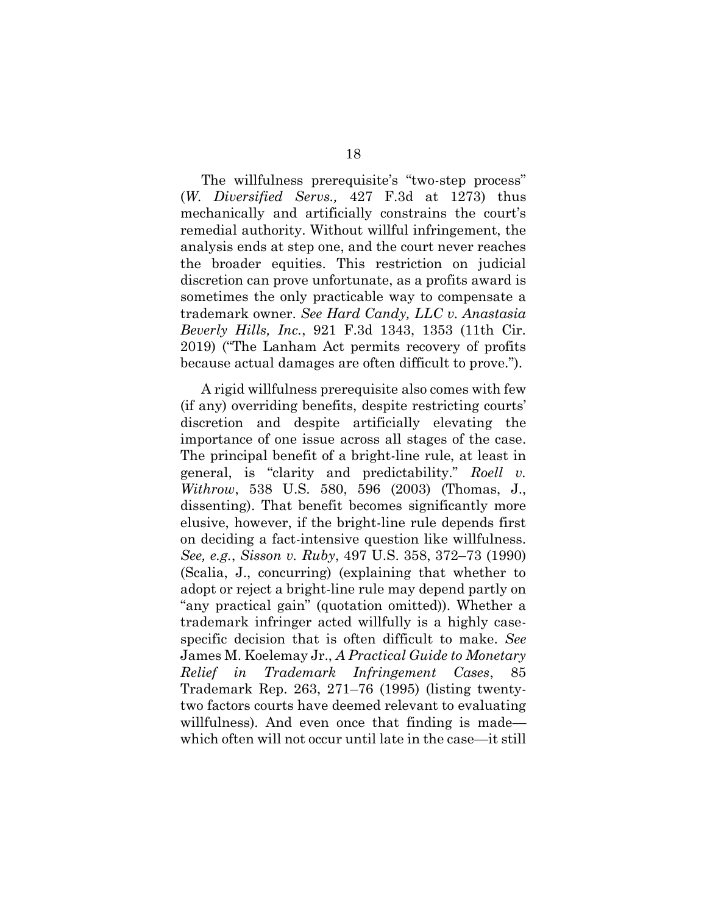The willfulness prerequisite's "two-step process" (*W. Diversified Servs.,* 427 F.3d at 1273) thus mechanically and artificially constrains the court's remedial authority. Without willful infringement, the analysis ends at step one, and the court never reaches the broader equities. This restriction on judicial discretion can prove unfortunate, as a profits award is sometimes the only practicable way to compensate a trademark owner. *See Hard Candy, LLC v. Anastasia Beverly Hills, Inc.*, 921 F.3d 1343, 1353 (11th Cir. 2019) ("The Lanham Act permits recovery of profits because actual damages are often difficult to prove.").

A rigid willfulness prerequisite also comes with few (if any) overriding benefits, despite restricting courts' discretion and despite artificially elevating the importance of one issue across all stages of the case. The principal benefit of a bright-line rule, at least in general, is "clarity and predictability." *Roell v. Withrow*, 538 U.S. 580, 596 (2003) (Thomas, J., dissenting). That benefit becomes significantly more elusive, however, if the bright-line rule depends first on deciding a fact-intensive question like willfulness. *See, e.g.*, *Sisson v. Ruby*, 497 U.S. 358, 372–73 (1990) (Scalia, J., concurring) (explaining that whether to adopt or reject a bright-line rule may depend partly on "any practical gain" (quotation omitted)). Whether a trademark infringer acted willfully is a highly casespecific decision that is often difficult to make. *See* James M. Koelemay Jr., *A Practical Guide to Monetary Relief in Trademark Infringement Cases*, 85 Trademark Rep. 263, 271–76 (1995) (listing twentytwo factors courts have deemed relevant to evaluating willfulness). And even once that finding is made which often will not occur until late in the case—it still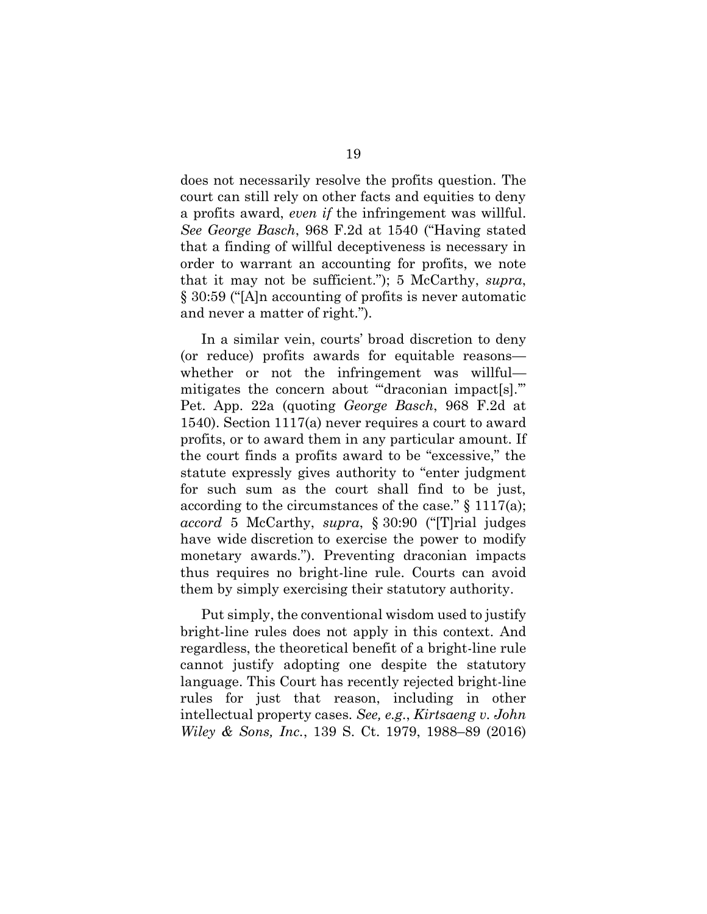does not necessarily resolve the profits question. The court can still rely on other facts and equities to deny a profits award, *even if* the infringement was willful. *See George Basch*, 968 F.2d at 1540 ("Having stated that a finding of willful deceptiveness is necessary in order to warrant an accounting for profits, we note that it may not be sufficient."); 5 McCarthy, *supra*, § 30:59 ("[A]n accounting of profits is never automatic and never a matter of right.").

In a similar vein, courts' broad discretion to deny (or reduce) profits awards for equitable reasons whether or not the infringement was willful mitigates the concern about "draconian impact[s]." Pet. App. 22a (quoting *George Basch*, 968 F.2d at 1540). Section 1117(a) never requires a court to award profits, or to award them in any particular amount. If the court finds a profits award to be "excessive," the statute expressly gives authority to "enter judgment for such sum as the court shall find to be just, according to the circumstances of the case." § 1117(a); *accord* 5 McCarthy, *supra*, § 30:90 ("[T]rial judges have wide discretion to exercise the power to modify monetary awards."). Preventing draconian impacts thus requires no bright-line rule. Courts can avoid them by simply exercising their statutory authority.

Put simply, the conventional wisdom used to justify bright-line rules does not apply in this context. And regardless, the theoretical benefit of a bright-line rule cannot justify adopting one despite the statutory language. This Court has recently rejected bright-line rules for just that reason, including in other intellectual property cases. *See, e.g.*, *Kirtsaeng v. John Wiley & Sons, Inc.*, 139 S. Ct. 1979, 1988–89 (2016)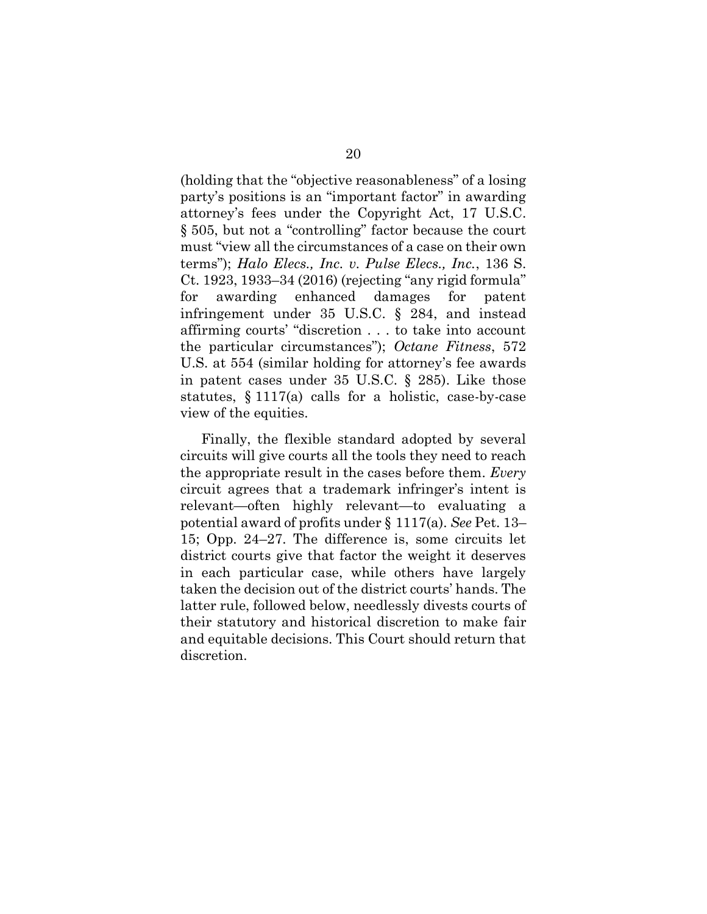(holding that the "objective reasonableness" of a losing party's positions is an "important factor" in awarding attorney's fees under the Copyright Act, 17 U.S.C. § 505, but not a "controlling" factor because the court must "view all the circumstances of a case on their own terms"); *Halo Elecs., Inc. v. Pulse Elecs., Inc.*, 136 S. Ct. 1923, 1933–34 (2016) (rejecting "any rigid formula" for awarding enhanced damages for patent infringement under [35 U.S.C. § 284,](https://1.next.westlaw.com/Link/Document/FullText?findType=L&pubNum=1000546&cite=35USCAS284&originatingDoc=I2473c054315711e690d4edf60ce7d742&refType=LQ&originationContext=document&transitionType=DocumentItem&contextData=(sc.Search)) and instead affirming courts' "discretion . . . to take into account the particular circumstances"); *Octane Fitness*, 572 U.S. at 554 (similar holding for attorney's fee awards in patent cases under 35 U.S.C. § 285). Like those statutes, § 1117(a) calls for a holistic, case-by-case view of the equities.

Finally, the flexible standard adopted by several circuits will give courts all the tools they need to reach the appropriate result in the cases before them. *Every*  circuit agrees that a trademark infringer's intent is relevant—often highly relevant—to evaluating a potential award of profits under § 1117(a). *See* Pet. 13– 15; Opp. 24–27. The difference is, some circuits let district courts give that factor the weight it deserves in each particular case, while others have largely taken the decision out of the district courts' hands. The latter rule, followed below, needlessly divests courts of their statutory and historical discretion to make fair and equitable decisions. This Court should return that discretion.